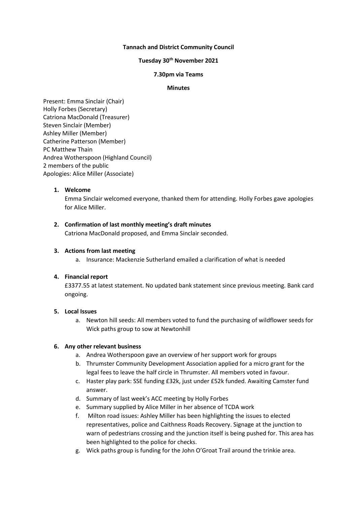#### **Tannach and District Community Council**

### **Tuesday 30th November 2021**

### **7.30pm via Teams**

#### **Minutes**

Present: Emma Sinclair (Chair) Holly Forbes (Secretary) Catriona MacDonald (Treasurer) Steven Sinclair (Member) Ashley Miller (Member) Catherine Patterson (Member) PC Matthew Thain Andrea Wotherspoon (Highland Council) 2 members of the public Apologies: Alice Miller (Associate)

### **1. Welcome**

Emma Sinclair welcomed everyone, thanked them for attending. Holly Forbes gave apologies for Alice Miller.

# **2. Confirmation of last monthly meeting's draft minutes**

Catriona MacDonald proposed, and Emma Sinclair seconded.

#### **3. Actions from last meeting**

a. Insurance: Mackenzie Sutherland emailed a clarification of what is needed

# **4. Financial report**

£3377.55 at latest statement. No updated bank statement since previous meeting. Bank card ongoing.

# **5. Local Issues**

a. Newton hill seeds: All members voted to fund the purchasing of wildflower seeds for Wick paths group to sow at Newtonhill

# **6. Any other relevant business**

- a. Andrea Wotherspoon gave an overview of her support work for groups
- b. Thrumster Community Development Association applied for a micro grant for the legal fees to leave the half circle in Thrumster. All members voted in favour.
- c. Haster play park: SSE funding £32k, just under £52k funded. Awaiting Camster fund answer.
- d. Summary of last week's ACC meeting by Holly Forbes
- e. Summary supplied by Alice Miller in her absence of TCDA work
- f. Milton road issues: Ashley Miller has been highlighting the issues to elected representatives, police and Caithness Roads Recovery. Signage at the junction to warn of pedestrians crossing and the junction itself is being pushed for. This area has been highlighted to the police for checks.
- g. Wick paths group is funding for the John O'Groat Trail around the trinkie area.